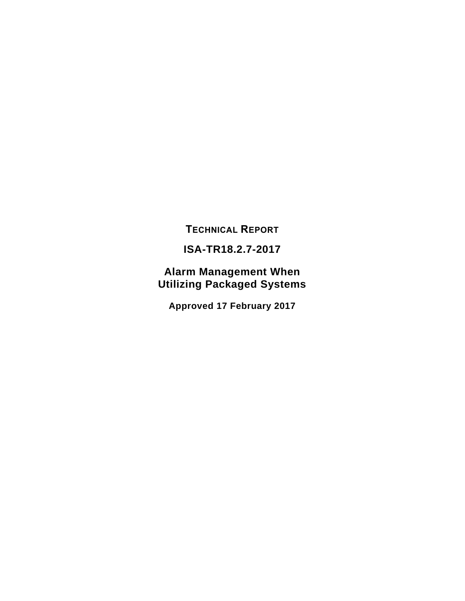**TECHNICAL REPORT**

## **ISA-TR18.2.7-2017**

**Alarm Management When Utilizing Packaged Systems**

**Approved 17 February 2017**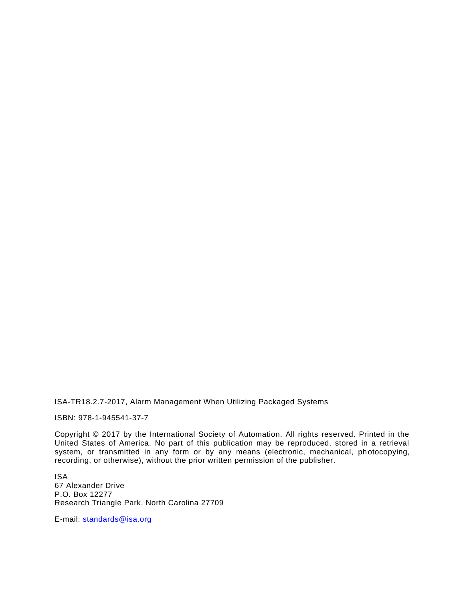ISA-TR18.2.7-2017, Alarm Management When Utilizing Packaged Systems

ISBN: 978-1-945541-37-7

Copyright © 2017 by the International Society of Automation. All rights reserved. Printed in the United States of America. No part of this publication may be reproduced, stored in a retrieval system, or transmitted in any form or by any means (electronic, mechanical, photocopying, recording, or otherwise), without the prior written permission of the publisher.

ISA 67 Alexander Drive P.O. Box 12277 Research Triangle Park, North Carolina 27709

E-mail: [standards@isa.org](mailto:standards@isa.org)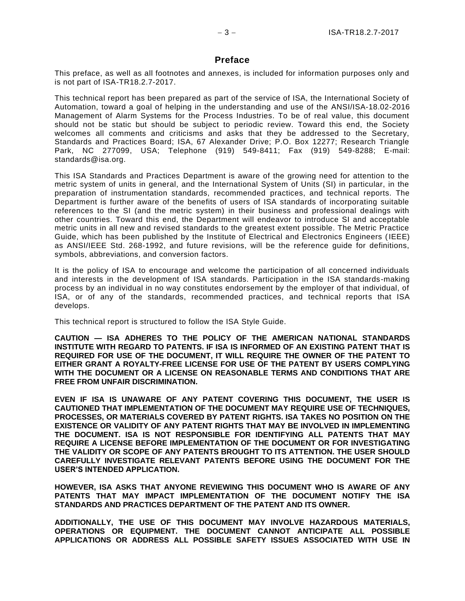#### **Preface**

This preface, as well as all footnotes and annexes, is included for information purposes only and is not part of ISA-TR18.2.7-2017.

This technical report has been prepared as part of the service of ISA, the International Society of Automation, toward a goal of helping in the understanding and use of the ANSI/ISA-18.02-2016 Management of Alarm Systems for the Process Industries. To be of real value, this document should not be static but should be subject to periodic review. Toward this end, the Society welcomes all comments and criticisms and asks that they be addressed to the Secretary, Standards and Practices Board; ISA, 67 Alexander Drive; P.O. Box 12277; Research Triangle Park, NC 277099, USA; Telephone (919) 549-8411; Fax (919) 549-8288; E-mail: standards@isa.org.

This ISA Standards and Practices Department is aware of the growing need for attention to the metric system of units in general, and the International System of Units (SI) in particular, in the preparation of instrumentation standards, recommended practices, and technical reports. The Department is further aware of the benefits of users of ISA standards of incorporating suitable references to the SI (and the metric system) in their business and professional dealings with other countries. Toward this end, the Department will endeavor to introduce SI and acceptable metric units in all new and revised standards to the greatest extent possible. The Metric Practice Guide, which has been published by the Institute of Electrical and Electronics Engineers (IEEE) as ANSI/IEEE Std. 268-1992, and future revisions, will be the reference guide for definitions, symbols, abbreviations, and conversion factors.

It is the policy of ISA to encourage and welcome the participation of all concerned individuals and interests in the development of ISA standards. Participation in the ISA standards-making process by an individual in no way constitutes endorsement by the employer of that individual, of ISA, or of any of the standards, recommended practices, and technical reports that ISA develops.

This technical report is structured to follow the ISA Style Guide.

**CAUTION — ISA ADHERES TO THE POLICY OF THE AMERICAN NATIONAL STANDARDS INSTITUTE WITH REGARD TO PATENTS. IF ISA IS INFORMED OF AN EXISTING PATENT THAT IS REQUIRED FOR USE OF THE DOCUMENT, IT WILL REQUIRE THE OWNER OF THE PATENT TO EITHER GRANT A ROYALTY-FREE LICENSE FOR USE OF THE PATENT BY USERS COMPLYING WITH THE DOCUMENT OR A LICENSE ON REASONABLE TERMS AND CONDITIONS THAT ARE FREE FROM UNFAIR DISCRIMINATION.** 

**EVEN IF ISA IS UNAWARE OF ANY PATENT COVERING THIS DOCUMENT, THE USER IS CAUTIONED THAT IMPLEMENTATION OF THE DOCUMENT MAY REQUIRE USE OF TECHNIQUES, PROCESSES, OR MATERIALS COVERED BY PATENT RIGHTS. ISA TAKES NO POSITION ON THE EXISTENCE OR VALIDITY OF ANY PATENT RIGHTS THAT MAY BE INVOLVED IN IMPLEMENTING THE DOCUMENT. ISA IS NOT RESPONSIBLE FOR IDENTIFYING ALL PATENTS THAT MAY REQUIRE A LICENSE BEFORE IMPLEMENTATION OF THE DOCUMENT OR FOR INVESTIGATING THE VALIDITY OR SCOPE OF ANY PATENTS BROUGHT TO ITS ATTENTION. THE USER SHOULD CAREFULLY INVESTIGATE RELEVANT PATENTS BEFORE USING THE DOCUMENT FOR THE USER'S INTENDED APPLICATION.**

**HOWEVER, ISA ASKS THAT ANYONE REVIEWING THIS DOCUMENT WHO IS AWARE OF ANY PATENTS THAT MAY IMPACT IMPLEMENTATION OF THE DOCUMENT NOTIFY THE ISA STANDARDS AND PRACTICES DEPARTMENT OF THE PATENT AND ITS OWNER.**

**ADDITIONALLY, THE USE OF THIS DOCUMENT MAY INVOLVE HAZARDOUS MATERIALS, OPERATIONS OR EQUIPMENT. THE DOCUMENT CANNOT ANTICIPATE ALL POSSIBLE APPLICATIONS OR ADDRESS ALL POSSIBLE SAFETY ISSUES ASSOCIATED WITH USE IN**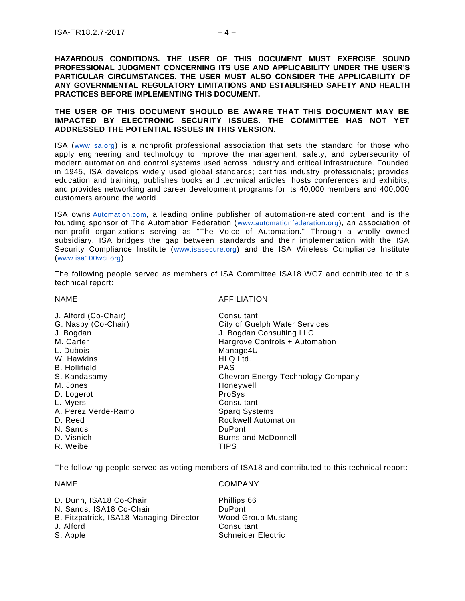**HAZARDOUS CONDITIONS. THE USER OF THIS DOCUMENT MUST EXERCISE SOUND PROFESSIONAL JUDGMENT CONCERNING ITS USE AND APPLICABILITY UNDER THE USER'S PARTICULAR CIRCUMSTANCES. THE USER MUST ALSO CONSIDER THE APPLICABILITY OF ANY GOVERNMENTAL REGULATORY LIMITATIONS AND ESTABLISHED SAFETY AND HEALTH PRACTICES BEFORE IMPLEMENTING THIS DOCUMENT.**

#### **THE USER OF THIS DOCUMENT SHOULD BE AWARE THAT THIS DOCUMENT MAY BE IMPACTED BY ELECTRONIC SECURITY ISSUES. THE COMMITTEE HAS NOT YET ADDRESSED THE POTENTIAL ISSUES IN THIS VERSION.**

ISA ([www.isa.org](https://www.isa.org/)) is a nonprofit professional association that sets the standard for those who apply engineering and technology to improve the management, safety, and cybersecurity of modern automation and control systems used across industry and critical infrastructure. Founded in 1945, ISA develops widely used global standards; certifies industry professionals; provides education and training; publishes books and technical articles; hosts conferences and exhibits; and provides networking and career development programs for its 40,000 members and 400,000 customers around the world.

ISA owns [Automation.com](http://www.automation.com/), a leading online publisher of automation-related content, and is the founding sponsor of The Automation Federation ([www.automationfederation.org](http://www.automationfederation.org/)), an association of non-profit organizations serving as "The Voice of Automation." Through a wholly owned subsidiary, ISA bridges the gap between standards and their implementation with the ISA Security Compliance Institute ([www.isasecure.org](http://www.isasecure.org/)) and the ISA Wireless Compliance Institute ([www.isa100wci.org](http://www.isa100wci.org/)).

The following people served as members of ISA Committee ISA18 WG7 and contributed to this technical report:

#### NAME AFFILIATION

| <b>B.</b> Hollifield<br><b>PAS</b><br>S. Kandasamy<br>Chevron Energy Technology Company<br>M. Jones<br>Honeywell<br>ProSys<br>D. Logerot<br>Consultant<br>L. Myers<br>A. Perez Verde-Ramo<br><b>Sparg Systems</b><br>Rockwell Automation<br>D. Reed<br>N. Sands<br><b>DuPont</b> |  |
|----------------------------------------------------------------------------------------------------------------------------------------------------------------------------------------------------------------------------------------------------------------------------------|--|
| D. Visnich<br><b>Burns and McDonnell</b>                                                                                                                                                                                                                                         |  |
| R. Weibel<br><b>TIPS</b>                                                                                                                                                                                                                                                         |  |

The following people served as voting members of ISA18 and contributed to this technical report:

#### NAME COMPANY

| Phillips 66        |
|--------------------|
| <b>DuPont</b>      |
| Wood Group Mustang |
| Consultant         |
| Schneider Electric |
|                    |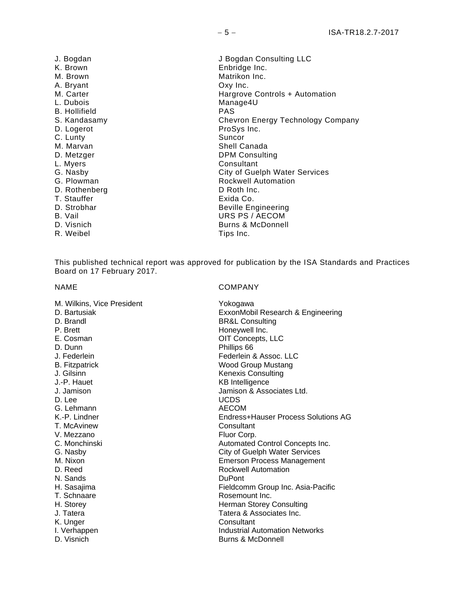K. Brown **Enbridge Inc.**<br>
M. Brown **Enbridge Inc.** A. Bryant Oxy Inc. L. Dubois Manage4U B. Hollifield PAS D. Logerot **D.** D. Logerot **ProSys Inc.**<br>
C. Lunty **C. Lunty** C. Lunty M. Marvan Shell Canada<br>
D. Metzger Shell Canada<br>
D. Metzger Shell Consulti D. Metzger DPM Consulting D. Rothenberg T. Stauffer Exida Co. D. Strobhar Beville Engineering<br>B. Vail B. Vail D. Visnich Burns & McDonnell<br>R. Weibel Burns Burns and Burns and Burns and Burns and Burns and Burns and Burns and Burns and Burns and Burn<br>Tips Inc. R. Weibel

J. Bogdan J. Bogdan Consulting LLC<br>K. Brown **Grades** Enbridge Inc. Matrikon Inc. M. Carter **M. Carter Hargrove Controls + Automation** S. Kandasamy Chevron Energy Technology Company Consultant G. Nasby City of Guelph Water Services<br>
G. Plowman City of Guelph Water Services<br>
Rockwell Automation Rockwell Automation<br>D. Roth Inc. URS PS / AECOM

This published technical report was approved for publication by the ISA Standards and Practices Board on 17 February 2017.

|  |  | NAME |  |
|--|--|------|--|
|--|--|------|--|

#### **COMPANY**

| M. Wilkins, Vice President<br>D. Bartusiak<br>D. Brandl<br>P. Brett | Yokogawa<br>ExxonMobil Research & Engineering<br><b>BR&amp;L Consulting</b><br>Honeywell Inc. |
|---------------------------------------------------------------------|-----------------------------------------------------------------------------------------------|
| E. Cosman                                                           | OIT Concepts, LLC                                                                             |
| D. Dunn                                                             | Phillips 66                                                                                   |
| J. Federlein                                                        | Federlein & Assoc. LLC                                                                        |
| <b>B.</b> Fitzpatrick                                               | <b>Wood Group Mustang</b>                                                                     |
| J. Gilsinn                                                          | <b>Kenexis Consulting</b>                                                                     |
| J.-P. Hauet                                                         | <b>KB</b> Intelligence                                                                        |
| J. Jamison                                                          | Jamison & Associates Ltd.                                                                     |
| D. Lee                                                              | <b>UCDS</b>                                                                                   |
| G. Lehmann                                                          | <b>AECOM</b>                                                                                  |
| K.-P. Lindner                                                       | Endress+Hauser Process Solutions AG                                                           |
| T. McAvinew                                                         | Consultant                                                                                    |
| V. Mezzano                                                          | Fluor Corp.                                                                                   |
| C. Monchinski                                                       | Automated Control Concepts Inc.                                                               |
| G. Nasbv                                                            | <b>City of Guelph Water Services</b>                                                          |
| M. Nixon                                                            | <b>Emerson Process Management</b>                                                             |
| D. Reed                                                             | <b>Rockwell Automation</b>                                                                    |
| N. Sands                                                            | <b>DuPont</b>                                                                                 |
| H. Sasajima                                                         | Fieldcomm Group Inc. Asia-Pacific                                                             |
| T. Schnaare                                                         | Rosemount Inc.                                                                                |
| H. Storey                                                           | Herman Storey Consulting                                                                      |
| J. Tatera                                                           | Tatera & Associates Inc.                                                                      |
| K. Unger                                                            | Consultant                                                                                    |
| I. Verhappen                                                        | <b>Industrial Automation Networks</b>                                                         |
| D. Visnich                                                          | Burns & McDonnell                                                                             |
|                                                                     |                                                                                               |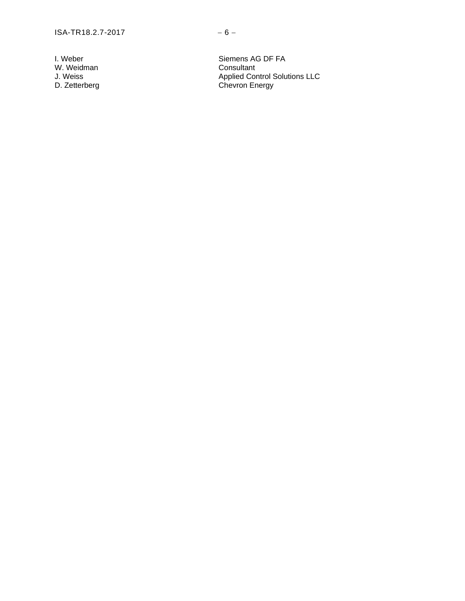W. Weidman<br>J. Weiss<br>D. Zetterberg

I. Weber Siemens AG DF FA<br>
W. Weidman Siemens AG DF FA<br>
W. Weidman J. Weiss **Applied Control Solutions LLC** D. Zetterberg Chevron Energy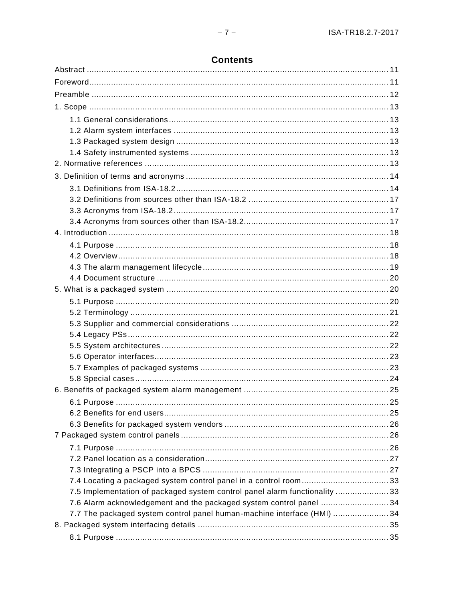| 7.5 Implementation of packaged system control panel alarm functionality 33 |  |
|----------------------------------------------------------------------------|--|
| 7.6 Alarm acknowledgement and the packaged system control panel  34        |  |
| 7.7 The packaged system control panel human-machine interface (HMI) 34     |  |
|                                                                            |  |
|                                                                            |  |

## **Contents**

 $-7-$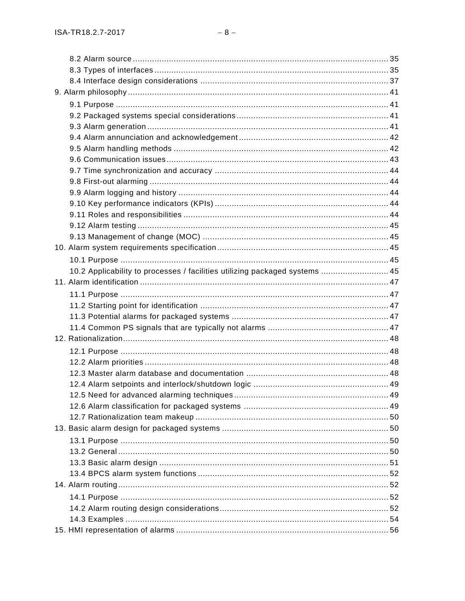| 10.2 Applicability to processes / facilities utilizing packaged systems  45 |  |
|-----------------------------------------------------------------------------|--|
|                                                                             |  |
|                                                                             |  |
|                                                                             |  |
|                                                                             |  |
|                                                                             |  |
|                                                                             |  |
|                                                                             |  |
|                                                                             |  |
|                                                                             |  |
|                                                                             |  |
|                                                                             |  |
|                                                                             |  |
|                                                                             |  |
|                                                                             |  |
|                                                                             |  |
|                                                                             |  |
|                                                                             |  |
|                                                                             |  |
|                                                                             |  |
|                                                                             |  |
|                                                                             |  |
|                                                                             |  |
|                                                                             |  |
|                                                                             |  |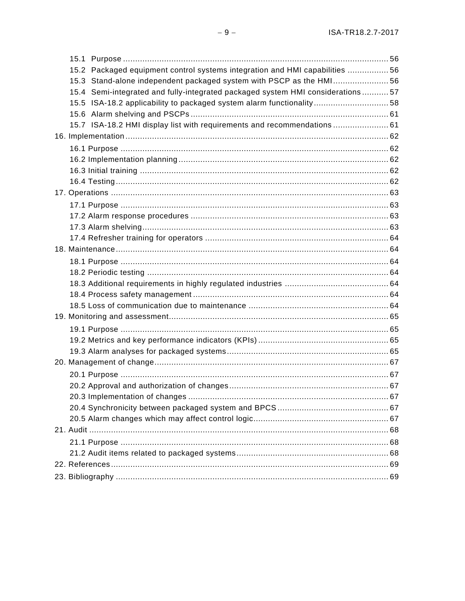| 15.2 Packaged equipment control systems integration and HMI capabilities  56   |  |
|--------------------------------------------------------------------------------|--|
| 15.3 Stand-alone independent packaged system with PSCP as the HMI56            |  |
| 15.4 Semi-integrated and fully-integrated packaged system HMI considerations57 |  |
| 15.5 ISA-18.2 applicability to packaged system alarm functionality58           |  |
|                                                                                |  |
| 15.7 ISA-18.2 HMI display list with requirements and recommendations  61       |  |
|                                                                                |  |
|                                                                                |  |
|                                                                                |  |
|                                                                                |  |
|                                                                                |  |
|                                                                                |  |
|                                                                                |  |
|                                                                                |  |
|                                                                                |  |
|                                                                                |  |
|                                                                                |  |
|                                                                                |  |
|                                                                                |  |
|                                                                                |  |
|                                                                                |  |
|                                                                                |  |
|                                                                                |  |
|                                                                                |  |
|                                                                                |  |
|                                                                                |  |
|                                                                                |  |
|                                                                                |  |
|                                                                                |  |

 $-9-$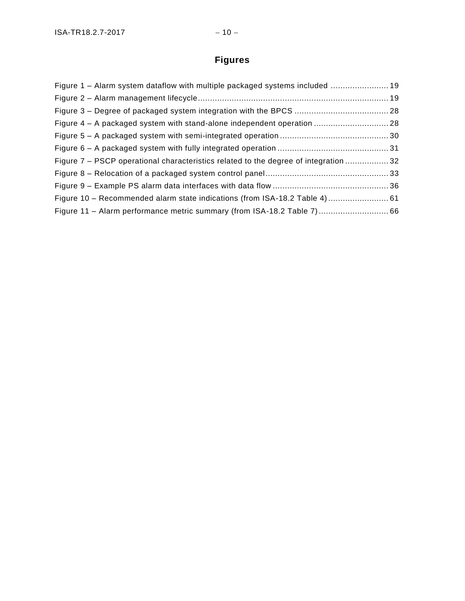# **Figures**

| Figure 1 – Alarm system dataflow with multiple packaged systems included  19               |  |
|--------------------------------------------------------------------------------------------|--|
|                                                                                            |  |
|                                                                                            |  |
| Figure 4 - A packaged system with stand-alone independent operation  28                    |  |
|                                                                                            |  |
|                                                                                            |  |
| Figure 7 – PSCP operational characteristics related to the degree of integration  32       |  |
| Figure 8 – Relocation of a packaged system control pane [ <i>[m][macommummummummum</i> 33] |  |
|                                                                                            |  |
|                                                                                            |  |
|                                                                                            |  |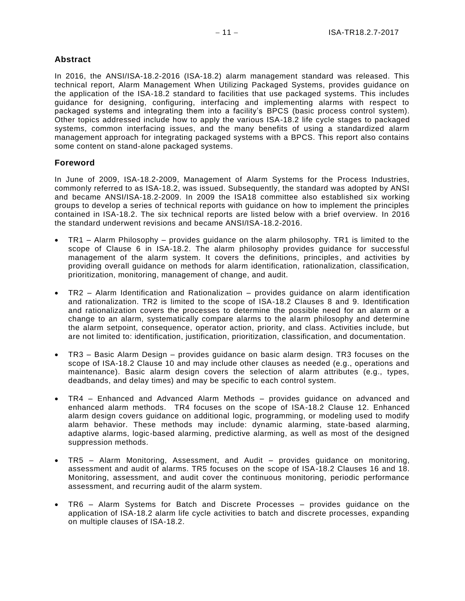### **Abstract**

In 2016, the ANSI/ISA-18.2-2016 (ISA-18.2) alarm management standard was released. This technical report, Alarm Management When Utilizing Packaged Systems, provides guidance on the application of the ISA-18.2 standard to facilities that use packaged systems. This includes guidance for designing, configuring, interfacing and implementing alarms with respect to packaged systems and integrating them into a facility's BPCS (basic process control system). Other topics addressed include how to apply the various ISA-18.2 life cycle stages to packaged systems, common interfacing issues, and the many benefits of using a standardized alarm management approach for integrating packaged systems with a BPCS. This report also contains some content on stand-alone packaged systems.

### **Foreword**

In June of 2009, ISA-18.2-2009, Management of Alarm Systems for the Process Industries, commonly referred to as ISA-18.2, was issued. Subsequently, the standard was adopted by ANSI and became ANSI/ISA-18.2-2009. In 2009 the ISA18 committee also established six working groups to develop a series of technical reports with guidance on how to implement the principles contained in ISA-18.2. The six technical reports are listed below with a brief overview. In 2016 the standard underwent revisions and became ANSI/ISA-18.2-2016.

- TR1 Alarm Philosophy provides guidance on the alarm philosophy. TR1 is limited to the scope of Clause 6 in ISA-18.2. The alarm philosophy provides guidance for successful management of the alarm system. It covers the definitions, principles, and activities by providing overall guidance on methods for alarm identification, rationalization, classification, prioritization, monitoring, management of change, and audit.
- TR2 Alarm Identification and Rationalization provides guidance on alarm identification and rationalization. TR2 is limited to the scope of ISA-18.2 Clauses 8 and 9. Identification and rationalization covers the processes to determine the possible need for an alarm or a change to an alarm, systematically compare alarms to the alarm philosophy and determine the alarm setpoint, consequence, operator action, priority, and class. Activities include, but are not limited to: identification, justification, prioritization, classification, and documentation.
- TR3 Basic Alarm Design provides guidance on basic alarm design. TR3 focuses on the scope of ISA-18.2 Clause 10 and may include other clauses as needed (e.g., operations and maintenance). Basic alarm design covers the selection of alarm attributes (e.g., types, deadbands, and delay times) and may be specific to each control system.
- TR4 Enhanced and Advanced Alarm Methods provides guidance on advanced and enhanced alarm methods. TR4 focuses on the scope of ISA-18.2 Clause 12. Enhanced alarm design covers guidance on additional logic, programming, or modeling used to modify alarm behavior. These methods may include: dynamic alarming, state-based alarming, adaptive alarms, logic-based alarming, predictive alarming, as well as most of the designed suppression methods.
- TR5 Alarm Monitoring, Assessment, and Audit provides guidance on monitoring, assessment and audit of alarms. TR5 focuses on the scope of ISA-18.2 Clauses 16 and 18. Monitoring, assessment, and audit cover the continuous monitoring, periodic performance assessment, and recurring audit of the alarm system.
- TR6 Alarm Systems for Batch and Discrete Processes provides guidance on the application of ISA-18.2 alarm life cycle activities to batch and discrete processes, expanding on multiple clauses of ISA-18.2.